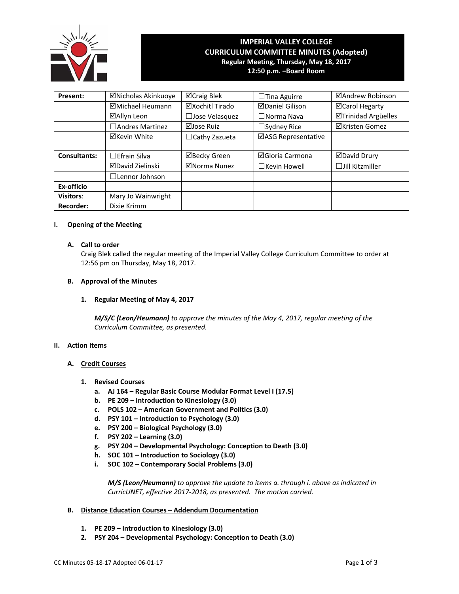

# **IMPERIAL VALLEY COLLEGE CURRICULUM COMMITTEE MINUTES (Adopted) Regular Meeting, Thursday, May 18, 2017 12:50 p.m. –Board Room**

| Present:            | ⊠Nicholas Akinkuoye   | ⊠Craig Blek           | $\Box$ Tina Aguirre    | ⊠Andrew Robinson       |
|---------------------|-----------------------|-----------------------|------------------------|------------------------|
|                     | ⊠Michael Heumann      | ⊠Xochitl Tirado       | <b>ØDaniel Gilison</b> | <b>⊠Carol Hegarty</b>  |
|                     | ⊠Allyn Leon           | $\Box$ Jose Velasquez | $\Box$ Norma Nava      | ⊠Trinidad Argüelles    |
|                     | □ Andres Martinez     | ⊠Jose Ruiz            | $\Box$ Sydney Rice     | <b>⊠Kristen Gomez</b>  |
|                     | ⊠Kevin White          | $\Box$ Cathy Zazueta  | ⊠ASG Representative    |                        |
|                     |                       |                       |                        |                        |
| <b>Consultants:</b> | $\Box$ Efrain Silva   | ⊠Becky Green          | <b>⊠Gloria Carmona</b> | <b>ØDavid Drury</b>    |
|                     | ⊠David Zielinski      | ⊠Norma Nunez          | $\Box$ Kevin Howell    | $\Box$ Jill Kitzmiller |
|                     | $\Box$ Lennor Johnson |                       |                        |                        |
| Ex-officio          |                       |                       |                        |                        |
| <b>Visitors:</b>    | Mary Jo Wainwright    |                       |                        |                        |
| <b>Recorder:</b>    | Dixie Krimm           |                       |                        |                        |

## **I. Opening of the Meeting**

#### **A. Call to order**

Craig Blek called the regular meeting of the Imperial Valley College Curriculum Committee to order at 12:56 pm on Thursday, May 18, 2017.

## **B. Approval of the Minutes**

# **1. Regular Meeting of May 4, 2017**

*M/S/C (Leon/Heumann) to approve the minutes of the May 4, 2017, regular meeting of the Curriculum Committee, as presented.* 

#### **II. Action Items**

# **A. Credit Courses**

- **1. Revised Courses**
	- **a. AJ 164 – Regular Basic Course Modular Format Level I (17.5)**
	- **b. PE 209 – Introduction to Kinesiology (3.0)**
	- **c. POLS 102 – American Government and Politics (3.0)**
	- **d. PSY 101 – Introduction to Psychology (3.0)**
	- **e. PSY 200 – Biological Psychology (3.0)**
	- **f. PSY 202 – Learning (3.0)**
	- **g. PSY 204 – Developmental Psychology: Conception to Death (3.0)**
	- **h. SOC 101 – Introduction to Sociology (3.0)**
	- **i. SOC 102 – Contemporary Social Problems (3.0)**

 *M/S (Leon/Heumann) to approve the update to items a. through i. above as indicated in CurricUNET, effective 2017‐2018, as presented. The motion carried.*

# **B. Distance Education Courses – Addendum Documentation**

- **1. PE 209 – Introduction to Kinesiology (3.0)**
- **2. PSY 204 – Developmental Psychology: Conception to Death (3.0)**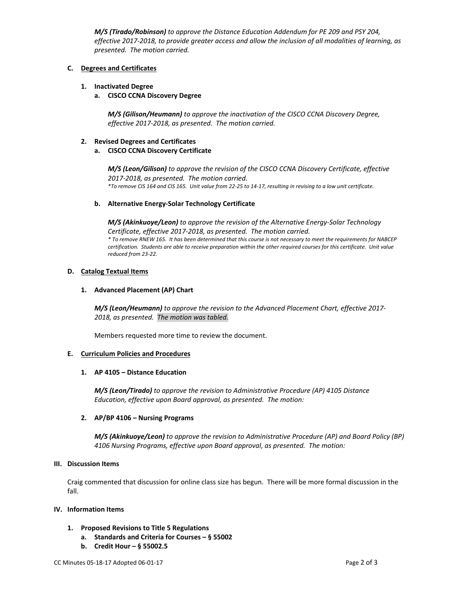*M/S (Tirado/Robinson) to approve the Distance Education Addendum for PE 209 and PSY 204,*  effective 2017-2018, to provide greater access and allow the inclusion of all modalities of learning, as  *presented. The motion carried.*

# **C. Degrees and Certificates**

## **1. Inactivated Degree**

#### **a. CISCO CCNA Discovery Degree**

 *M/S (Gilison/Heumann) to approve the inactivation of the CISCO CCNA Discovery Degree, effective 2017‐2018, as presented. The motion carried.*

## **2. Revised Degrees and Certificates**

## **a. CISCO CCNA Discovery Certificate**

 *M/S (Leon/Gilison) to approve the revision of the CISCO CCNA Discovery Certificate, effective 2017‐2018, as presented. The motion carried.* \*To remove CIS 164 and CIS 165. Unit value from 22-25 to 14-17, resulting in revising to a low unit certificate.

## **b. Alternative Energy‐Solar Technology Certificate**

 *M/S (Akinkuoye/Leon) to approve the revision of the Alternative Energy‐Solar Technology Certificate, effective 2017‐2018, as presented. The motion carried.* \* To remove RNEW 165. It has been determined that this course is not necessary to meet the requirements for NABCEP certification. Students are able to receive preparation within the other required courses for this certificate. Unit value  *reduced from 23‐22.*

## **D. Catalog Textual Items**

## **1. Advanced Placement (AP) Chart**

 *M/S (Leon/Heumann) to approve the revision to the Advanced Placement Chart, effective 2017‐ 2018, as presented. The motion was tabled.*

 Members requested more time to review the document.

# **E. Curriculum Policies and Procedures**

#### **1. AP 4105 – Distance Education**

 *M/S (Leon/Tirado) to approve the revision to Administrative Procedure (AP) 4105 Distance Education, effective upon Board approval, as presented. The motion:* 

# **2. AP/BP 4106 – Nursing Programs**

 *M/S (Akinkuoye/Leon) to approve the revision to Administrative Procedure (AP) and Board Policy (BP) 4106 Nursing Programs, effective upon Board approval, as presented. The motion:*

#### **III. Discussion Items**

Craig commented that discussion for online class size has begun. There will be more formal discussion in the fall.

#### **IV. Information Items**

- **1. Proposed Revisions to Title 5 Regulations**
	- **a. Standards and Criteria for Courses – § 55002**
	- **b. Credit Hour – § 55002.5**